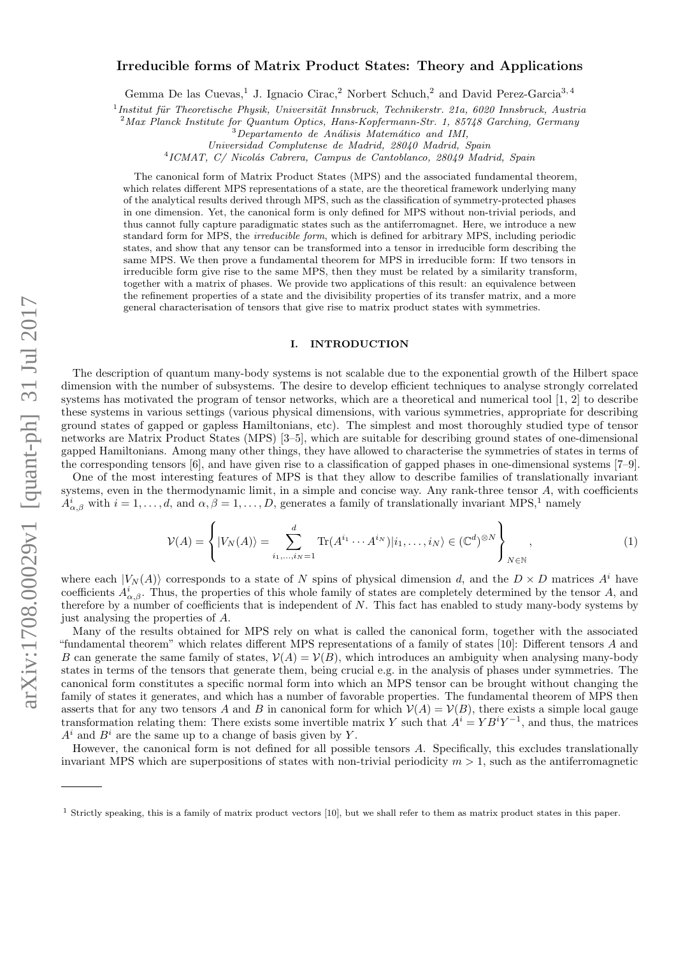# arXiv:1708.00029v1 [quant-ph] 31 Jul 2017 arXiv:1708.00029v1 [quant-ph] 31 Jul 2017

# Irreducible forms of Matrix Product States: Theory and Applications

Gemma De las Cuevas,<sup>1</sup> J. Ignacio Cirac,<sup>2</sup> Norbert Schuch,<sup>2</sup> and David Perez-Garcia<sup>3, 4</sup>

<sup>1</sup> Institut für Theoretische Physik, Universität Innsbruck, Technikerstr. 21a, 6020 Innsbruck, Austria

<sup>2</sup>Max Planck Institute for Quantum Optics, Hans-Kopfermann-Str. 1, 85748 Garching, Germany

Universidad Complutense de Madrid, 28040 Madrid, Spain

<sup>4</sup>ICMAT, C/ Nicolás Cabrera, Campus de Cantoblanco, 28049 Madrid, Spain

The canonical form of Matrix Product States (MPS) and the associated fundamental theorem, which relates different MPS representations of a state, are the theoretical framework underlying many of the analytical results derived through MPS, such as the classification of symmetry-protected phases in one dimension. Yet, the canonical form is only defined for MPS without non-trivial periods, and thus cannot fully capture paradigmatic states such as the antiferromagnet. Here, we introduce a new standard form for MPS, the *irreducible form*, which is defined for arbitrary MPS, including periodic states, and show that any tensor can be transformed into a tensor in irreducible form describing the same MPS. We then prove a fundamental theorem for MPS in irreducible form: If two tensors in irreducible form give rise to the same MPS, then they must be related by a similarity transform, together with a matrix of phases. We provide two applications of this result: an equivalence between the refinement properties of a state and the divisibility properties of its transfer matrix, and a more general characterisation of tensors that give rise to matrix product states with symmetries.

# I. INTRODUCTION

The description of quantum many-body systems is not scalable due to the exponential growth of the Hilbert space dimension with the number of subsystems. The desire to develop efficient techniques to analyse strongly correlated systems has motivated the program of tensor networks, which are a theoretical and numerical tool [\[1,](#page-11-0) [2\]](#page-11-1) to describe these systems in various settings (various physical dimensions, with various symmetries, appropriate for describing ground states of gapped or gapless Hamiltonians, etc). The simplest and most thoroughly studied type of tensor networks are Matrix Product States (MPS) [\[3–](#page-11-2)[5\]](#page-11-3), which are suitable for describing ground states of one-dimensional gapped Hamiltonians. Among many other things, they have allowed to characterise the symmetries of states in terms of the corresponding tensors [\[6\]](#page-11-4), and have given rise to a classification of gapped phases in one-dimensional systems [\[7–](#page-11-5)[9\]](#page-11-6).

One of the most interesting features of MPS is that they allow to describe families of translationally invariant systems, even in the thermodynamic limit, in a simple and concise way. Any rank-three tensor A, with coefficients  $A^i_{\alpha,\beta}$  with  $i=1,\ldots,d$  $i=1,\ldots,d$  $i=1,\ldots,d$ , and  $\alpha,\beta=1,\ldots,D$ , generates a family of translationally invariant MPS,<sup>1</sup> namely

<span id="page-0-1"></span>
$$
\mathcal{V}(A) = \left\{ |V_N(A)\rangle = \sum_{i_1,\dots,i_N=1}^d \text{Tr}(A^{i_1}\cdots A^{i_N})|i_1,\dots,i_N\rangle \in (\mathbb{C}^d)^{\otimes N} \right\}_{N \in \mathbb{N}},\tag{1}
$$

where each  $|V_N(A)\rangle$  corresponds to a state of N spins of physical dimension d, and the  $D \times D$  matrices  $A^i$  have coefficients  $A^i_{\alpha,\beta}$ . Thus, the properties of this whole family of states are completely determined by the tensor A, and therefore by a number of coefficients that is independent of  $N$ . This fact has enabled to study many-body systems by just analysing the properties of A.

Many of the results obtained for MPS rely on what is called the canonical form, together with the associated "fundamental theorem" which relates different MPS representations of a family of states [\[10\]](#page-11-7): Different tensors A and B can generate the same family of states,  $\mathcal{V}(A) = \mathcal{V}(B)$ , which introduces an ambiguity when analysing many-body states in terms of the tensors that generate them, being crucial e.g. in the analysis of phases under symmetries. The canonical form constitutes a specific normal form into which an MPS tensor can be brought without changing the family of states it generates, and which has a number of favorable properties. The fundamental theorem of MPS then asserts that for any two tensors A and B in canonical form for which  $V(A) = V(B)$ , there exists a simple local gauge transformation relating them: There exists some invertible matrix Y such that  $A^i = Y B^i Y^{-1}$ , and thus, the matrices  $A^i$  and  $B^i$  are the same up to a change of basis given by Y.

However, the canonical form is not defined for all possible tensors A. Specifically, this excludes translationally invariant MPS which are superpositions of states with non-trivial periodicity  $m > 1$ , such as the antiferromagnetic

 $3$ Departamento de Análisis Matemático and IMI,

<span id="page-0-0"></span><sup>1</sup> Strictly speaking, this is a family of matrix product vectors [\[10\]](#page-11-7), but we shall refer to them as matrix product states in this paper.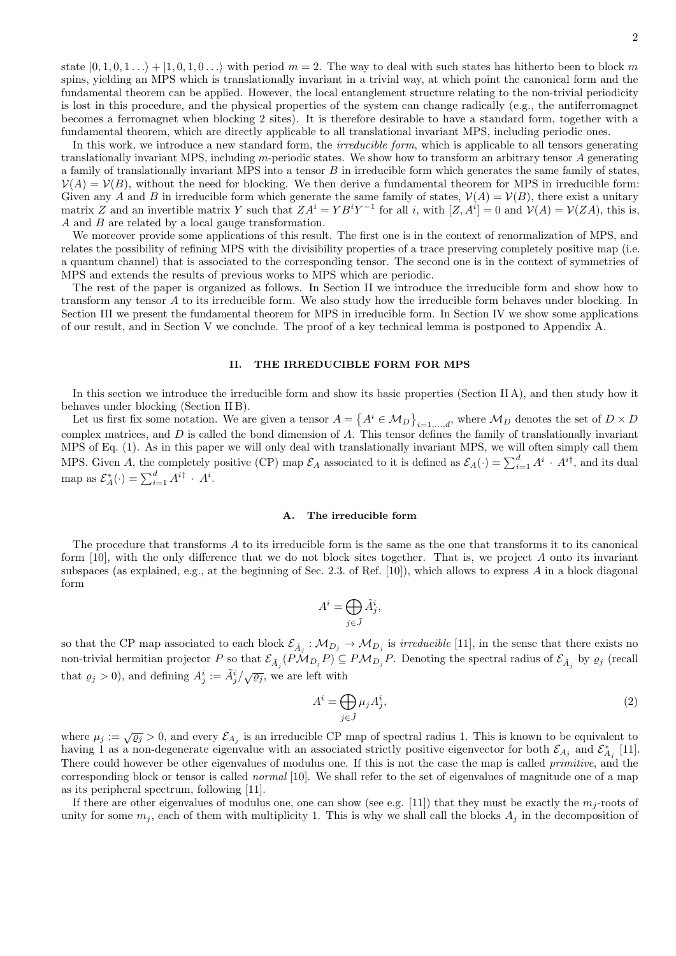state  $|0, 1, 0, 1 \ldots \rangle + |1, 0, 1, 0 \ldots \rangle$  with period  $m = 2$ . The way to deal with such states has hitherto been to block m spins, yielding an MPS which is translationally invariant in a trivial way, at which point the canonical form and the fundamental theorem can be applied. However, the local entanglement structure relating to the non-trivial periodicity is lost in this procedure, and the physical properties of the system can change radically (e.g., the antiferromagnet becomes a ferromagnet when blocking 2 sites). It is therefore desirable to have a standard form, together with a fundamental theorem, which are directly applicable to all translational invariant MPS, including periodic ones.

In this work, we introduce a new standard form, the *irreducible form*, which is applicable to all tensors generating translationally invariant MPS, including m-periodic states. We show how to transform an arbitrary tensor A generating a family of translationally invariant MPS into a tensor  $B$  in irreducible form which generates the same family of states,  $\mathcal{V}(A) = \mathcal{V}(B)$ , without the need for blocking. We then derive a fundamental theorem for MPS in irreducible form: Given any A and B in irreducible form which generate the same family of states,  $\mathcal{V}(A) = \mathcal{V}(B)$ , there exist a unitary matrix Z and an invertible matrix Y such that  $ZA^i=YB^iY^{-1}$  for all i, with  $[Z, A^i]=0$  and  $\mathcal{V}(A)=\mathcal{V}(ZA)$ , this is, A and B are related by a local gauge transformation.

We moreover provide some applications of this result. The first one is in the context of renormalization of MPS, and relates the possibility of refining MPS with the divisibility properties of a trace preserving completely positive map (i.e. a quantum channel) that is associated to the corresponding tensor. The second one is in the context of symmetries of MPS and extends the results of previous works to MPS which are periodic.

The rest of the paper is organized as follows. In Section [II](#page-1-0) we introduce the irreducible form and show how to transform any tensor A to its irreducible form. We also study how the irreducible form behaves under blocking. In Section [III](#page-4-0) we present the fundamental theorem for MPS in irreducible form. In Section [IV](#page-7-0) we show some applications of our result, and in Section [V](#page-8-0) we conclude. The proof of a key technical lemma is postponed to Appendix [A.](#page-9-0)

# <span id="page-1-0"></span>II. THE IRREDUCIBLE FORM FOR MPS

In this section we introduce the irreducible form and show its basic properties (Section [II A\)](#page-1-1), and then study how it behaves under blocking (Section [II B\)](#page-3-0).

Let us first fix some notation. We are given a tensor  $A = \{A^i \in M_D\}_{i=1,\dots,d}$ , where  $M_D$  denotes the set of  $D \times D$ complex matrices, and  $D$  is called the bond dimension of  $A$ . This tensor defines the family of translationally invariant MPS of Eq. [\(1\)](#page-0-1). As in this paper we will only deal with translationally invariant MPS, we will often simply call them MPS. Given A, the completely positive (CP) map  $\mathcal{E}_A$  associated to it is defined as  $\mathcal{E}_A(\cdot) = \sum_{i=1}^d A^i \cdot A^{i\dagger}$ , and its dual map as  $\mathcal{E}_A^*(\cdot) = \sum_{i=1}^d A^{i\dagger} \cdot A^i$ .

### <span id="page-1-1"></span>A. The irreducible form

The procedure that transforms A to its irreducible form is the same as the one that transforms it to its canonical form [\[10\]](#page-11-7), with the only difference that we do not block sites together. That is, we project A onto its invariant subspaces (as explained, e.g., at the beginning of Sec. 2.3. of Ref.  $[10]$ ), which allows to express A in a block diagonal form

$$
A^i = \bigoplus_{j \in \tilde{J}} \tilde{A}^i_j,
$$

so that the CP map associated to each block  $\mathcal{E}_{\tilde{A}_j}: \mathcal{M}_{D_j} \to \mathcal{M}_{D_j}$  is *irreducible* [\[11\]](#page-11-8), in the sense that there exists no non-trivial hermitian projector P so that  $\mathcal{E}_{\tilde{A}_j}(P\mathcal{M}_{D_j}P) \subseteq P\mathcal{M}_{D_j}P$ . Denoting the spectral radius of  $\mathcal{E}_{\tilde{A}_j}$  by  $\varrho_j$  (recall that  $\varrho_j > 0$ ), and defining  $A^i_j := \tilde{A}^i_j / \sqrt{\varrho_j}$ , we are left with

<span id="page-1-2"></span>
$$
A^i = \bigoplus_{j \in \tilde{J}} \mu_j A^i_j,\tag{2}
$$

where  $\mu_j := \sqrt{\varrho_j} > 0$ , and every  $\mathcal{E}_{A_j}$  is an irreducible CP map of spectral radius 1. This is known to be equivalent to having 1 as a non-degenerate eigenvalue with an associated strictly positive eigenvector for both  $\mathcal{E}_{A_j}$  and  $\mathcal{E}_{A_j}^*$  [\[11\]](#page-11-8). There could however be other eigenvalues of modulus one. If this is not the case the map is called *primitive*, and the corresponding block or tensor is called normal [\[10\]](#page-11-7). We shall refer to the set of eigenvalues of magnitude one of a map as its peripheral spectrum, following [\[11\]](#page-11-8).

If there are other eigenvalues of modulus one, one can show (see e.g. [\[11\]](#page-11-8)) that they must be exactly the  $m_j$ -roots of unity for some  $m_j$ , each of them with multiplicity 1. This is why we shall call the blocks  $A_j$  in the decomposition of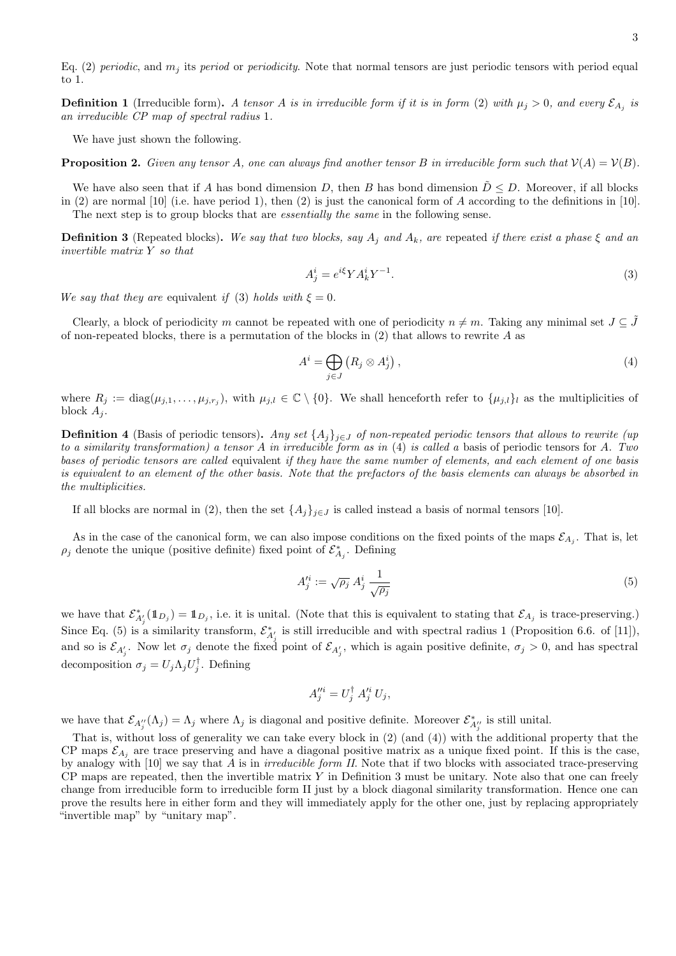Eq. [\(2\)](#page-1-2) periodic, and  $m_j$  its period or periodicity. Note that normal tensors are just periodic tensors with period equal to 1.

**Definition 1** (Irreducible form). A tensor A is in irreducible form if it is in form [\(2\)](#page-1-2) with  $\mu_j > 0$ , and every  $\mathcal{E}_{A_j}$  is an irreducible CP map of spectral radius 1.

We have just shown the following.

<span id="page-2-4"></span>**Proposition 2.** Given any tensor A, one can always find another tensor B in irreducible form such that  $V(A) = V(B)$ .

We have also seen that if A has bond dimension D, then B has bond dimension  $D \leq D$ . Moreover, if all blocks in [\(2\)](#page-1-2) are normal [\[10\]](#page-11-7) (i.e. have period 1), then (2) is just the canonical form of A according to the definitions in [10]. The next step is to group blocks that are *essentially the same* in the following sense.

<span id="page-2-3"></span>**Definition 3** (Repeated blocks). We say that two blocks, say  $A_j$  and  $A_k$ , are repeated if there exist a phase  $\xi$  and an invertible matrix Y so that

<span id="page-2-0"></span>
$$
A_j^i = e^{i\xi} Y A_k^i Y^{-1}.
$$
\n<sup>(3)</sup>

We say that they are equivalent if [\(3\)](#page-2-0) holds with  $\xi = 0$ .

Clearly, a block of periodicity m cannot be repeated with one of periodicity  $n \neq m$ . Taking any minimal set  $J \subseteq \tilde{J}$ of non-repeated blocks, there is a permutation of the blocks in  $(2)$  that allows to rewrite A as

<span id="page-2-1"></span>
$$
A^{i} = \bigoplus_{j \in J} \left( R_{j} \otimes A_{j}^{i} \right), \tag{4}
$$

where  $R_j := \text{diag}(\mu_{j,1}, \dots, \mu_{j,r_j})$ , with  $\mu_{j,l} \in \mathbb{C} \setminus \{0\}$ . We shall henceforth refer to  $\{\mu_{j,l}\}_l$  as the multiplicities of block  $A_i$ .

**Definition 4** (Basis of periodic tensors). Any set  $\{A_j\}_{j\in J}$  of non-repeated periodic tensors that allows to rewrite (up to a similarity transformation) a tensor A in irreducible form as in  $(4)$  is called a basis of periodic tensors for A. Two bases of periodic tensors are called equivalent if they have the same number of elements, and each element of one basis is equivalent to an element of the other basis. Note that the prefactors of the basis elements can always be absorbed in the multiplicities.

If all blocks are normal in [\(2\)](#page-1-2), then the set  $\{A_j\}_{j\in J}$  is called instead a basis of normal tensors [\[10\]](#page-11-7).

As in the case of the canonical form, we can also impose conditions on the fixed points of the maps  $\mathcal{E}_{A_j}$ . That is, let  $\rho_j$  denote the unique (positive definite) fixed point of  $\mathcal{E}^*_{A_j}$ . Defining

<span id="page-2-2"></span>
$$
A_j^{\prime i} := \sqrt{\rho_j} A_j^i \frac{1}{\sqrt{\rho_j}} \tag{5}
$$

we have that  $\mathcal{E}_{A'_{j}}^{*}(\mathbb{1}_{D_{j}}) = \mathbb{1}_{D_{j}}$ , i.e. it is unital. (Note that this is equivalent to stating that  $\mathcal{E}_{A_{j}}$  is trace-preserving.) Since Eq. [\(5\)](#page-2-2) is a similarity transform,  $\mathcal{E}_{A'_{i}}^{*}$  is still irreducible and with spectral radius 1 (Proposition 6.6. of [\[11\]](#page-11-8)), and so is  $\mathcal{E}_{A'_j}$ . Now let  $\sigma_j$  denote the fixed point of  $\mathcal{E}_{A'_j}$ , which is again positive definite,  $\sigma_j > 0$ , and has spectral decomposition  $\sigma_j = U_j \Lambda_j U_j^{\dagger}$ . Defining

$$
A_j^{\prime\prime i} = U_j^\dagger A_j^{\prime i} U_j,
$$

we have that  $\mathcal{E}_{A''_j}(\Lambda_j) = \Lambda_j$  where  $\Lambda_j$  is diagonal and positive definite. Moreover  $\mathcal{E}_{A''_j}^*$  is still unital.

That is, without loss of generality we can take every block in [\(2\)](#page-1-2) (and [\(4\)](#page-2-1)) with the additional property that the CP maps  $\mathcal{E}_{A_j}$  are trace preserving and have a diagonal positive matrix as a unique fixed point. If this is the case, by analogy with  $[10]$  we say that A is in *irreducible form II*. Note that if two blocks with associated trace-preserving  $CP$  maps are repeated, then the invertible matrix Y in Definition [3](#page-2-3) must be unitary. Note also that one can freely change from irreducible form to irreducible form II just by a block diagonal similarity transformation. Hence one can prove the results here in either form and they will immediately apply for the other one, just by replacing appropriately "invertible map" by "unitary map".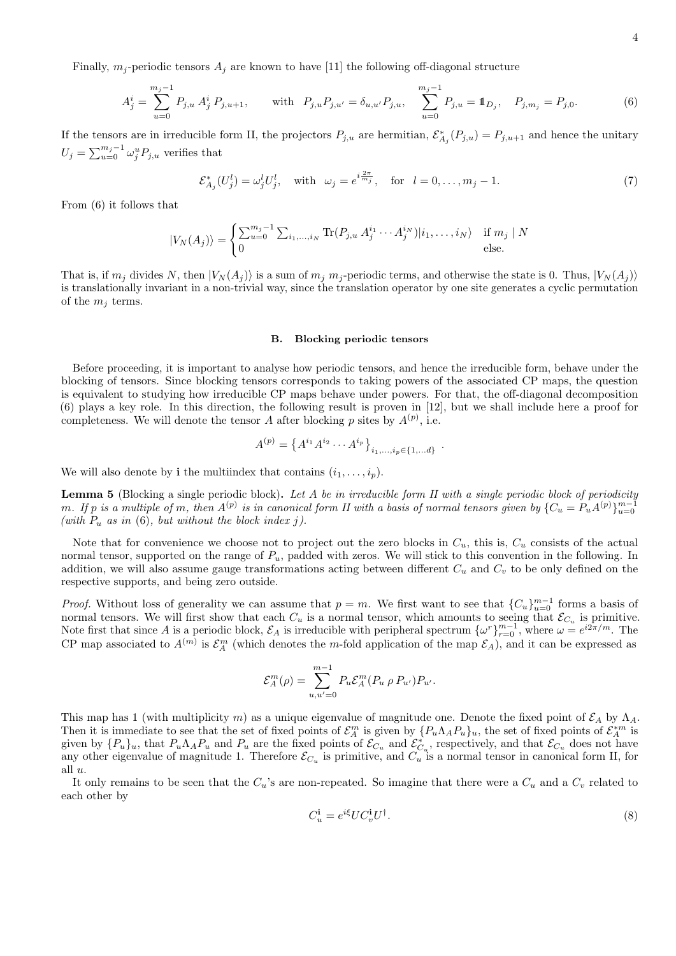Finally,  $m_j$ -periodic tensors  $A_j$  are known to have [\[11\]](#page-11-8) the following off-diagonal structure

<span id="page-3-1"></span>
$$
A_j^i = \sum_{u=0}^{m_j-1} P_{j,u} A_j^i P_{j,u+1}, \quad \text{with } P_{j,u} P_{j,u'} = \delta_{u,u'} P_{j,u}, \quad \sum_{u=0}^{m_j-1} P_{j,u} = \mathbb{1}_{D_j}, \quad P_{j,m_j} = P_{j,0}.
$$
 (6)

If the tensors are in irreducible form II, the projectors  $P_{j,u}$  are hermitian,  $\mathcal{E}_{A_j}^*(P_{j,u}) = P_{j,u+1}$  and hence the unitary  $U_j = \sum_{u=0}^{m_j-1} \omega_j^u P_{j,u}$  verifies that

<span id="page-3-4"></span>
$$
\mathcal{E}_{A_j}^*(U_j^l) = \omega_j^l U_j^l, \quad \text{with} \quad \omega_j = e^{i\frac{2\pi}{m_j}}, \quad \text{for} \quad l = 0, \dots, m_j - 1. \tag{7}
$$

From [\(6\)](#page-3-1) it follows that

$$
|V_N(A_j)\rangle = \begin{cases} \sum_{u=0}^{m_j-1} \sum_{i_1,\dots,i_N} \text{Tr}(P_{j,u} A_j^{i_1} \cdots A_j^{i_N}) |i_1,\dots,i_N\rangle & \text{if } m_j \mid N \\ 0 & \text{else.} \end{cases}
$$

That is, if  $m_j$  divides N, then  $|V_N(A_j)\rangle$  is a sum of  $m_j$   $m_j$ -periodic terms, and otherwise the state is 0. Thus,  $|V_N(A_j)\rangle$ is translationally invariant in a non-trivial way, since the translation operator by one site generates a cyclic permutation of the  $m_j$  terms.

## <span id="page-3-0"></span>B. Blocking periodic tensors

Before proceeding, it is important to analyse how periodic tensors, and hence the irreducible form, behave under the blocking of tensors. Since blocking tensors corresponds to taking powers of the associated CP maps, the question is equivalent to studying how irreducible CP maps behave under powers. For that, the off-diagonal decomposition [\(6\)](#page-3-1) plays a key role. In this direction, the following result is proven in [\[12\]](#page-11-9), but we shall include here a proof for completeness. We will denote the tensor A after blocking p sites by  $A^{(p)}$ , i.e.

$$
A^{(p)} = \left\{ A^{i_1} A^{i_2} \cdots A^{i_p} \right\}_{i_1,\ldots,i_p \in \{1,\ldots d\}}.
$$

We will also denote by **i** the multiindex that contains  $(i_1, \ldots, i_p)$ .

<span id="page-3-3"></span>Lemma 5 (Blocking a single periodic block). Let A be in irreducible form II with a single periodic block of periodicity m. If p is a multiple of m, then  $A^{(p)}$  is in canonical form II with a basis of normal tensors given by  $\{C_u = P_u A^{(p)}\}_{u=0}^{m-1}$ (with  $P_u$  as in [\(6\)](#page-3-1), but without the block index j).

Note that for convenience we choose not to project out the zero blocks in  $C_u$ , this is,  $C_u$  consists of the actual normal tensor, supported on the range of  $P_u$ , padded with zeros. We will stick to this convention in the following. In addition, we will also assume gauge transformations acting between different  $C_u$  and  $C_v$  to be only defined on the respective supports, and being zero outside.

*Proof.* Without loss of generality we can assume that  $p = m$ . We first want to see that  ${C_u}_{u=0}^{m-1}$  forms a basis of normal tensors. We will first show that each  $C_u$  is a normal tensor, which amounts to seeing that  $\mathcal{E}_{C_u}$  is primitive. Note first that since A is a periodic block,  $\mathcal{E}_A$  is irreducible with peripheral spectrum  $\{\omega^r\}_{r=0}^{m-1}$ , where  $\omega = e^{i2\pi/m}$ . The CP map associated to  $A^{(m)}$  is  $\mathcal{E}_A^m$  (which denotes the m-fold application of the map  $\mathcal{E}_A$ ), and it can be expressed as

$$
\mathcal{E}_A^m(\rho) = \sum_{u,u'=0}^{m-1} P_u \mathcal{E}_A^m(P_u \, \rho \, P_{u'}) P_{u'}.
$$

This map has 1 (with multiplicity m) as a unique eigenvalue of magnitude one. Denote the fixed point of  $\mathcal{E}_A$  by  $\Lambda_A$ . Then it is immediate to see that the set of fixed points of  $\mathcal{E}_A^m$  is given by  $\{P_u \Lambda_A P_u\}_u$ , the set of fixed points of  $\mathcal{E}_A^{*m}$  is given by  $\{P_u\}_u$ , that  $P_u \Lambda_A P_u$  and  $P_u$  are the fixed points of  $\mathcal{E}_{C_u}$  and  $\mathcal{E}_{C_u}^*$ , respectively, and that  $\mathcal{E}_{C_u}$  does not have any other eigenvalue of magnitude 1. Therefore  $\mathcal{E}_{C_u}$  is primitive, and  $C_u$  is a normal tensor in canonical form II, for all u.

It only remains to be seen that the  $C_u$ 's are non-repeated. So imagine that there were a  $C_u$  and a  $C_v$  related to each other by

<span id="page-3-2"></span>
$$
C_u^{\mathbf{i}} = e^{i\xi} U C_v^{\mathbf{i}} U^{\dagger}.
$$
\n<sup>(8)</sup>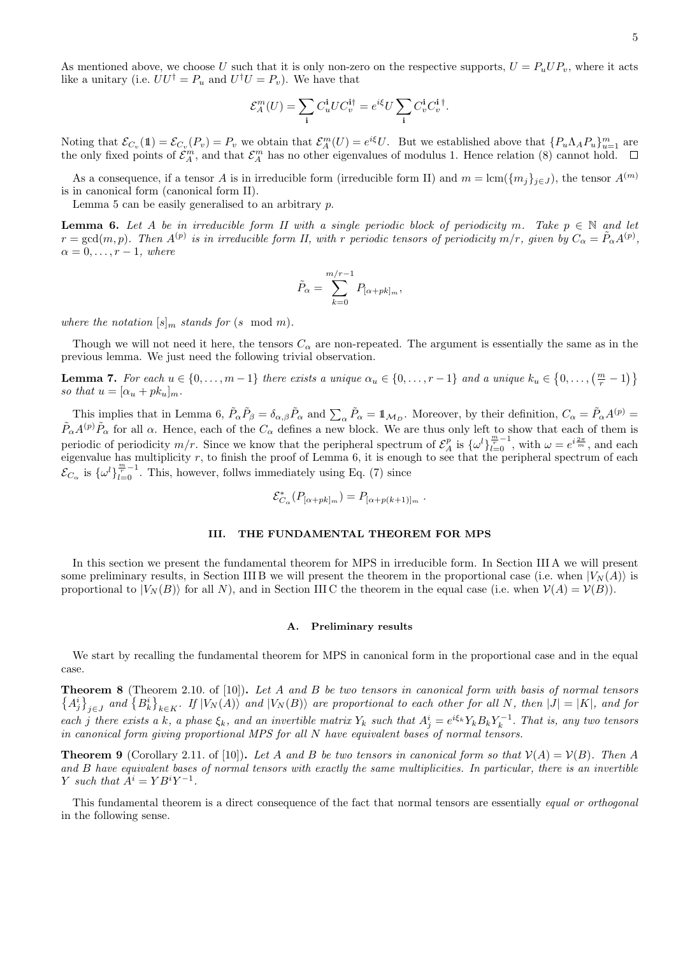As mentioned above, we choose U such that it is only non-zero on the respective supports,  $U = P_u U P_v$ , where it acts like a unitary (i.e.  $UU^{\dagger} = P_u$  and  $U^{\dagger}U = P_v$ ). We have that

$$
\mathcal{E}_A^m(U) = \sum_{\mathbf{i}} C_u^{\mathbf{i}} U C_v^{\mathbf{i}\dagger} = e^{i\xi} U \sum_{\mathbf{i}} C_v^{\mathbf{i}} C_v^{\mathbf{i}\, \dagger}.
$$

Noting that  $\mathcal{E}_{C_v}(\mathbb{1}) = \mathcal{E}_{C_v}(P_v) = P_v$  we obtain that  $\mathcal{E}_A^m(U) = e^{i\xi}U$ . But we established above that  $\{P_u \Lambda_A P_u\}_{u=1}^m$  are the only fixed points of  $\mathcal{E}_A^m$ , and that  $\mathcal{E}_A^m$  has no other eigenvalues of modulus 1. Hence relation [\(8\)](#page-3-2) cannot hold.

As a consequence, if a tensor A is in irreducible form (irreducible form II) and  $m = \text{lcm}(\{m_j\}_{j\in J})$ , the tensor  $A^{(m)}$ is in canonical form (canonical form II).

Lemma [5](#page-3-3) can be easily generalised to an arbitrary  $p$ .

<span id="page-4-1"></span>**Lemma 6.** Let A be in irreducible form II with a single periodic block of periodicity m. Take  $p \in \mathbb{N}$  and let  $r = \gcd(m, p)$ . Then  $A^{(p)}$  is in irreducible form II, with r periodic tensors of periodicity  $m/r$ , given by  $C_{\alpha} = \tilde{P}_{\alpha}A^{(p)}$ ,  $\alpha = 0, \ldots, r-1$ , where

$$
\tilde{P}_{\alpha} = \sum_{k=0}^{m/r-1} P_{[\alpha + pk]_m},
$$

where the notation  $[s]_m$  stands for  $(s \mod m)$ .

Though we will not need it here, the tensors  $C_{\alpha}$  are non-repeated. The argument is essentially the same as in the previous lemma. We just need the following trivial observation.

<span id="page-4-5"></span>**Lemma 7.** For each  $u \in \{0, ..., m-1\}$  there exists a unique  $\alpha_u \in \{0, ..., r-1\}$  and a unique  $k_u \in \{0, ..., \left(\frac{m}{r} - 1\right)\}$ so that  $u = [\alpha_u + pk_u]_m$ .

This implies that in Lemma [6,](#page-4-1)  $\tilde{P}_{\alpha}\tilde{P}_{\beta} = \delta_{\alpha,\beta}\tilde{P}_{\alpha}$  and  $\sum_{\alpha}\tilde{P}_{\alpha} = \mathbb{1}_{\mathcal{M}_{D}}$ . Moreover, by their definition,  $C_{\alpha} = \tilde{P}_{\alpha}A^{(p)} =$  $\tilde{P}_{\alpha}A^{(p)}\tilde{P}_{\alpha}$  for all  $\alpha$ . Hence, each of the  $C_{\alpha}$  defines a new block. We are thus only left to show that each of them is periodic of periodicity  $m/r$ . Since we know that the peripheral spectrum of  $\mathcal{E}_A^p$  is  $\{\omega^l\}_{l=0}^{\frac{m}{m}-1}$ , with  $\omega = e^{i\frac{2\pi}{m}}$ , and each eigenvalue has multiplicity  $r$ , to finish the proof of Lemma  $6$ , it is enough to see that the peripheral spectrum of each  $\mathcal{E}_{C_{\alpha}}$  is  $\{\omega^l\}_{l=0}^{\frac{m}{r}-1}$ . This, however, follws immediately using Eq. [\(7\)](#page-3-4) since

$$
\mathcal{E}_{C_{\alpha}}^*(P_{[\alpha+pk]_m}) = P_{[\alpha+p(k+1)]_m}.
$$

### <span id="page-4-0"></span>III. THE FUNDAMENTAL THEOREM FOR MPS

In this section we present the fundamental theorem for MPS in irreducible form. In Section [III A](#page-4-2) we will present some preliminary results, in Section [III B](#page-5-0) we will present the theorem in the proportional case (i.e. when  $|V_N(A)\rangle$  is proportional to  $|V_N(B)\rangle$  for all N), and in Section IIIC the theorem in the equal case (i.e. when  $V(A) = V(B)$ ).

### <span id="page-4-2"></span>A. Preliminary results

We start by recalling the fundamental theorem for MPS in canonical form in the proportional case and in the equal case.

<span id="page-4-3"></span>Theorem 8 (Theorem 2.10. of [\[10\]](#page-11-7)). Let A and B be two tensors in canonical form with basis of normal tensors  ${A_j^i}_{i \in J}$  and  ${B_k^i}_{k \in K}$ . If  $|V_N(A)\rangle$  and  $|V_N(B)\rangle$  are proportional to each other for all N, then  $|J| = |K|$ , and for each j there exists a k, a phase  $\xi_k$ , and an invertible matrix  $Y_k$  such that  $A_j^i = e^{i\xi_k} Y_k B_k Y_k^{-1}$ . That is, any two tensors in canonical form giving proportional MPS for all N have equivalent bases of normal tensors.

**Theorem 9** (Corollary 2.11. of [\[10\]](#page-11-7)). Let A and B be two tensors in canonical form so that  $V(A) = V(B)$ . Then A and B have equivalent bases of normal tensors with exactly the same multiplicities. In particular, there is an invertible Y such that  $A^i = Y B^i Y^{-1}$ .

<span id="page-4-4"></span>This fundamental theorem is a direct consequence of the fact that normal tensors are essentially equal or orthogonal in the following sense.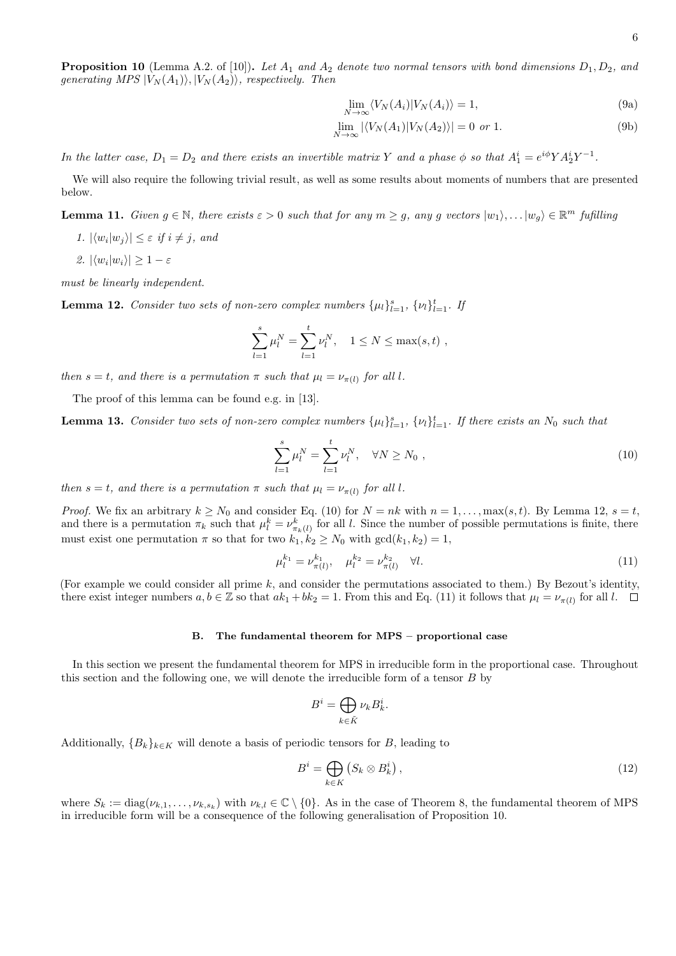$$
\lim_{N \to \infty} \langle V_N(A_i) | V_N(A_i) \rangle = 1,
$$
\n(9a)

$$
\lim_{N \to \infty} |\langle V_N(A_1)|V_N(A_2)\rangle| = 0 \text{ or } 1. \tag{9b}
$$

In the latter case,  $D_1 = D_2$  and there exists an invertible matrix Y and a phase  $\phi$  so that  $A_1^i = e^{i\phi} Y A_2^i Y^{-1}$ .

We will also require the following trivial result, as well as some results about moments of numbers that are presented below.

<span id="page-5-4"></span>**Lemma 11.** Given  $g \in \mathbb{N}$ , there exists  $\varepsilon > 0$  such that for any  $m \ge g$ , any g vectors  $|w_1\rangle, \ldots, |w_g\rangle \in \mathbb{R}^m$  fufilling

1.  $|\langle w_i | w_j \rangle| \leq \varepsilon$  if  $i \neq j$ , and

2.  $|\langle w_i|w_i\rangle| \geq 1-\varepsilon$ 

must be linearly independent.

<span id="page-5-2"></span>**Lemma 12.** Consider two sets of non-zero complex numbers  $\{\mu_l\}_{l=1}^s$ ,  $\{\nu_l\}_{l=1}^t$ . If

$$
\sum_{l=1}^{s} \mu_l^N = \sum_{l=1}^{t} \nu_l^N, \quad 1 \le N \le \max(s, t) ,
$$

then  $s = t$ , and there is a permutation  $\pi$  such that  $\mu_l = \nu_{\pi(l)}$  for all l.

The proof of this lemma can be found e.g. in [\[13\]](#page-11-10).

generating MPS  $|V_N(A_1)\rangle, |V_N(A_2)\rangle$ , respectively. Then

<span id="page-5-7"></span>**Lemma 13.** Consider two sets of non-zero complex numbers  $\{\mu_l\}_{l=1}^s$ ,  $\{\nu_l\}_{l=1}^t$ . If there exists an  $N_0$  such that

<span id="page-5-1"></span>
$$
\sum_{l=1}^{s} \mu_l^N = \sum_{l=1}^{t} \nu_l^N, \quad \forall N \ge N_0 , \qquad (10)
$$

then  $s = t$ , and there is a permutation  $\pi$  such that  $\mu_l = \nu_{\pi(l)}$  for all l.

*Proof.* We fix an arbitrary  $k \geq N_0$  and consider Eq. [\(10\)](#page-5-1) for  $N = nk$  with  $n = 1, ..., \max(s, t)$ . By Lemma [12,](#page-5-2)  $s = t$ , and there is a permutation  $\pi_k$  such that  $\mu_l^k = \nu_{\pi_k(l)}^k$  for all l. Since the number of possible permutations is finite, there must exist one permutation  $\pi$  so that for two  $k_1, k_2 \ge N_0$  with  $gcd(k_1, k_2) = 1$ ,

<span id="page-5-3"></span>
$$
\mu_l^{k_1} = \nu_{\pi(l)}^{k_1}, \quad \mu_l^{k_2} = \nu_{\pi(l)}^{k_2} \quad \forall l. \tag{11}
$$

(For example we could consider all prime  $k$ , and consider the permutations associated to them.) By Bezout's identity, there exist integer numbers  $a, b \in \mathbb{Z}$  so that  $ak_1 + bk_2 = 1$ . From this and Eq. [\(11\)](#page-5-3) it follows that  $\mu_l = \nu_{\pi(l)}$  for all l.

## <span id="page-5-0"></span>B. The fundamental theorem for MPS – proportional case

In this section we present the fundamental theorem for MPS in irreducible form in the proportional case. Throughout this section and the following one, we will denote the irreducible form of a tensor B by

$$
B^i = \bigoplus_{k \in \tilde{K}} \nu_k B^i_k
$$

.

Additionally,  ${B_k}_{k \in K}$  will denote a basis of periodic tensors for B, leading to

<span id="page-5-6"></span>
$$
B^{i} = \bigoplus_{k \in K} \left( S_{k} \otimes B_{k}^{i} \right), \tag{12}
$$

<span id="page-5-5"></span>where  $S_k := \text{diag}(\nu_{k,1}, \dots, \nu_{k,s_k})$  with  $\nu_{k,l} \in \mathbb{C} \setminus \{0\}$ . As in the case of Theorem [8,](#page-4-3) the fundamental theorem of MPS in irreducible form will be a consequence of the following generalisation of Proposition [10.](#page-4-4)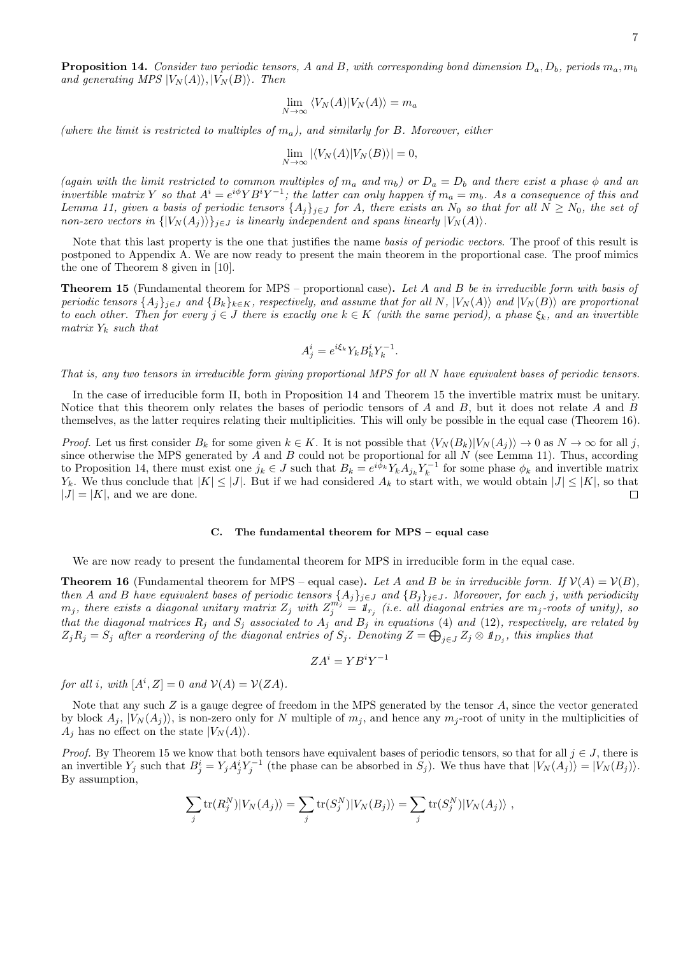**Proposition 14.** Consider two periodic tensors, A and B, with corresponding bond dimension  $D_a, D_b$ , periods  $m_a, m_b$ and generating MPS  $|V_N(A)\rangle, |V_N(B)\rangle$ . Then

$$
\lim_{N \to \infty} \langle V_N(A) | V_N(A) \rangle = m_a
$$

(where the limit is restricted to multiples of  $m_a$ ), and similarly for B. Moreover, either

$$
\lim_{N \to \infty} |\langle V_N(A)|V_N(B)\rangle| = 0,
$$

(again with the limit restricted to common multiples of  $m_a$  and  $m_b$ ) or  $D_a = D_b$  and there exist a phase  $\phi$  and an invertible matrix Y so that  $A^i = e^{i\phi} Y B^i Y^{-1}$ ; the latter can only happen if  $m_a = m_b$ . As a consequence of this and Lemma [11,](#page-5-4) given a basis of periodic tensors  $\{A_j\}_{j\in J}$  for A, there exists an  $N_0$  so that for all  $N \ge N_0$ , the set of non-zero vectors in  $\{|V_N(A_j)\rangle\}_{j\in J}$  is linearly independent and spans linearly  $|V_N(A)\rangle$ .

Note that this last property is the one that justifies the name basis of periodic vectors. The proof of this result is postponed to Appendix [A.](#page-9-0) We are now ready to present the main theorem in the proportional case. The proof mimics the one of Theorem [8](#page-4-3) given in [\[10\]](#page-11-7).

<span id="page-6-1"></span>Theorem 15 (Fundamental theorem for MPS – proportional case). Let A and B be in irreducible form with basis of periodic tensors  $\{A_j\}_{j\in J}$  and  $\{B_k\}_{k\in K}$ , respectively, and assume that for all N,  $|V_N(A)\rangle$  and  $|V_N(B)\rangle$  are proportional to each other. Then for every  $j \in J$  there is exactly one  $k \in K$  (with the same period), a phase  $\xi_k$ , and an invertible matrix  $Y_k$  such that

$$
A_j^i = e^{i\xi_k} Y_k B_k^i Y_k^{-1}.
$$

That is, any two tensors in irreducible form giving proportional MPS for all N have equivalent bases of periodic tensors.

In the case of irreducible form II, both in Proposition [14](#page-5-5) and Theorem [15](#page-6-1) the invertible matrix must be unitary. Notice that this theorem only relates the bases of periodic tensors of A and B, but it does not relate A and B themselves, as the latter requires relating their multiplicities. This will only be possible in the equal case (Theorem [16\)](#page-6-2).

*Proof.* Let us first consider  $B_k$  for some given  $k \in K$ . It is not possible that  $\langle V_N(B_k)|V_N(A_i)\rangle \to 0$  as  $N \to \infty$  for all j, since otherwise the MPS generated by A and B could not be proportional for all  $N$  (see Lemma [11\)](#page-5-4). Thus, according to Proposition [14,](#page-5-5) there must exist one  $j_k \in J$  such that  $B_k = e^{i\phi_k} Y_k A_{j_k} Y_k^{-1}$  for some phase  $\phi_k$  and invertible matrix  $Y_k$ . We thus conclude that  $|K| \leq |J|$ . But if we had considered  $A_k$  to start with, we would obtain  $|J| \leq |K|$ , so that  $|J| = |K|$ , and we are done.  $\Box$ 

# <span id="page-6-0"></span>C. The fundamental theorem for MPS – equal case

We are now ready to present the fundamental theorem for MPS in irreducible form in the equal case.

<span id="page-6-2"></span>**Theorem 16** (Fundamental theorem for MPS – equal case). Let A and B be in irreducible form. If  $V(A) = V(B)$ , then A and B have equivalent bases of periodic tensors  $\{A_j\}_{j\in J}$  and  $\{B_j\}_{j\in J}$ . Moreover, for each j, with periodicity  $m_j$ , there exists a diagonal unitary matrix  $Z_j$  with  $Z_j^{m_j} = \mathbb{1}_{r_j}$  (i.e. all diagonal entries are  $m_j$ -roots of unity), so that the diagonal matrices  $R_j$  and  $S_j$  associated to  $A_j$  and  $B_j$  in equations [\(4\)](#page-2-1) and [\(12\)](#page-5-6), respectively, are related by  $Z_jR_j=S_j$  after a reordering of the diagonal entries of  $S_j$ . Denoting  $Z=\bigoplus_{j\in J}Z_j\otimes 1\!\!1_{D_j}$ , this implies that

$$
ZA^i=YB^iY^{-1}
$$

for all i, with  $[A^i, Z] = 0$  and  $V(A) = V(ZA)$ .

Note that any such  $Z$  is a gauge degree of freedom in the MPS generated by the tensor  $A$ , since the vector generated by block  $A_j$ ,  $|V_N(A_j)\rangle$ , is non-zero only for N multiple of  $m_j$ , and hence any  $m_j$ -root of unity in the multiplicities of  $A_i$  has no effect on the state  $|V_N(A)\rangle$ .

*Proof.* By Theorem [15](#page-6-1) we know that both tensors have equivalent bases of periodic tensors, so that for all  $j \in J$ , there is an invertible  $Y_j$  such that  $B_j^i = Y_j A_j^i Y_j^{-1}$  (the phase can be absorbed in  $S_j$ ). We thus have that  $|V_N(A_j)\rangle = |V_N(B_j)\rangle$ . By assumption,

$$
\sum_j \text{tr}(R_j^N)|V_N(A_j)\rangle = \sum_j \text{tr}(S_j^N)|V_N(B_j)\rangle = \sum_j \text{tr}(S_j^N)|V_N(A_j)\rangle,
$$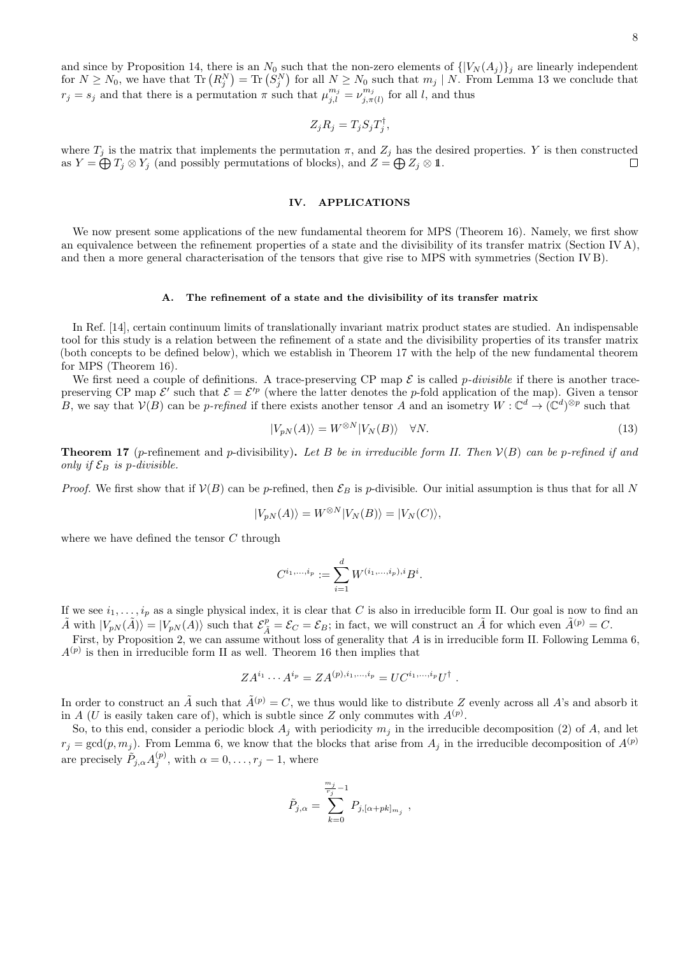8

and since by Proposition [14,](#page-5-5) there is an  $N_0$  such that the non-zero elements of  $\{[V_N(A_j)]_j\}$  are linearly independent for  $N \ge N_0$ , we have that  $\text{Tr} (R_j^N) = \text{Tr} (S_j^N)$  for all  $N \ge N_0$  such that  $m_j \mid N$ . From Lemma [13](#page-5-7) we conclude that  $r_j = s_j$  and that there is a permutation  $\pi$  such that  $\mu_{j,l}^{m_j} = \nu_{j,\pi}^{m_j}$  $j_{j,\pi(l)}^{m_j}$  for all l, and thus

$$
Z_j R_j = T_j S_j T_j^{\dagger},
$$

where  $T_j$  is the matrix that implements the permutation  $\pi$ , and  $Z_j$  has the desired properties. Y is then constructed as  $Y = \bigoplus T_j \otimes Y_j$  (and possibly permutations of blocks), and  $Z = \bigoplus Z_j \otimes \mathbb{1}$ .  $\Box$ 

# <span id="page-7-0"></span>IV. APPLICATIONS

We now present some applications of the new fundamental theorem for MPS (Theorem [16\)](#page-6-2). Namely, we first show an equivalence between the refinement properties of a state and the divisibility of its transfer matrix (Section [IV A\)](#page-7-1), and then a more general characterisation of the tensors that give rise to MPS with symmetries (Section [IV B\)](#page-8-1).

### <span id="page-7-1"></span>A. The refinement of a state and the divisibility of its transfer matrix

In Ref. [\[14\]](#page-11-11), certain continuum limits of translationally invariant matrix product states are studied. An indispensable tool for this study is a relation between the refinement of a state and the divisibility properties of its transfer matrix (both concepts to be defined below), which we establish in Theorem [17](#page-7-2) with the help of the new fundamental theorem for MPS (Theorem [16\)](#page-6-2).

We first need a couple of definitions. A trace-preserving CP map  $\mathcal E$  is called *p-divisible* if there is another tracepreserving CP map  $\mathcal{E}'$  such that  $\mathcal{E} = \mathcal{E}'^p$  (where the latter denotes the p-fold application of the map). Given a tensor B, we say that  $V(B)$  can be p-refined if there exists another tensor A and an isometry  $W:\mathbb{C}^d\to (\mathbb{C}^d)^{\otimes p}$  such that

<span id="page-7-3"></span>
$$
|V_{pN}(A)\rangle = W^{\otimes N}|V_N(B)\rangle \quad \forall N. \tag{13}
$$

<span id="page-7-2"></span>**Theorem 17** (p-refinement and p-divisibility). Let B be in irreducible form II. Then  $V(B)$  can be p-refined if and only if  $\mathcal{E}_B$  is p-divisible.

*Proof.* We first show that if  $V(B)$  can be p-refined, then  $\mathcal{E}_B$  is p-divisible. Our initial assumption is thus that for all N

$$
|V_{pN}(A)\rangle = W^{\otimes N}|V_N(B)\rangle = |V_N(C)\rangle,
$$

where we have defined the tensor C through

$$
C^{i_1,\dots,i_p} := \sum_{i=1}^d W^{(i_1,\dots,i_p),i} B^i.
$$

If we see  $i_1, \ldots, i_p$  as a single physical index, it is clear that C is also in irreducible form II. Our goal is now to find an  $\tilde{A}$  with  $|V_{pN}(\tilde{A})\rangle = |V_{pN}(A)\rangle$  such that  $\mathcal{E}_{\tilde{A}}^p = \mathcal{E}_C = \mathcal{E}_B$ ; in fact, we will construct an  $\tilde{A}$  for which even  $\tilde{A}^{(p)} = C$ .

First, by Proposition [2,](#page-2-4) we can assume without loss of generality that A is in irreducible form II. Following Lemma [6,](#page-4-1)  $A^{(p)}$  is then in irreducible form II as well. Theorem [16](#page-6-2) then implies that

$$
ZA^{i_1}\cdots A^{i_p}=ZA^{(p),i_1,\ldots,i_p}=UC^{i_1,\ldots,i_p}U^{\dagger}.
$$

In order to construct an  $\tilde{A}$  such that  $\tilde{A}^{(p)} = C$ , we thus would like to distribute Z evenly across all A's and absorb it in A (U is easily taken care of), which is subtle since Z only commutes with  $A^{(p)}$ .

So, to this end, consider a periodic block  $A_j$  with periodicity  $m_j$  in the irreducible decomposition [\(2\)](#page-1-2) of A, and let  $r_j = \gcd(p, m_j)$ . From Lemma [6,](#page-4-1) we know that the blocks that arise from  $A_j$  in the irreducible decomposition of  $A^{(p)}$ are precisely  $\tilde{P}_{j,\alpha} A_j^{(p)}$ , with  $\alpha = 0, \ldots, r_j - 1$ , where

$$
\tilde{P}_{j,\alpha}=\sum_{k=0}^{\frac{m_j}{r_j}-1}P_{j,[\alpha+pk]_{m_j}}
$$

,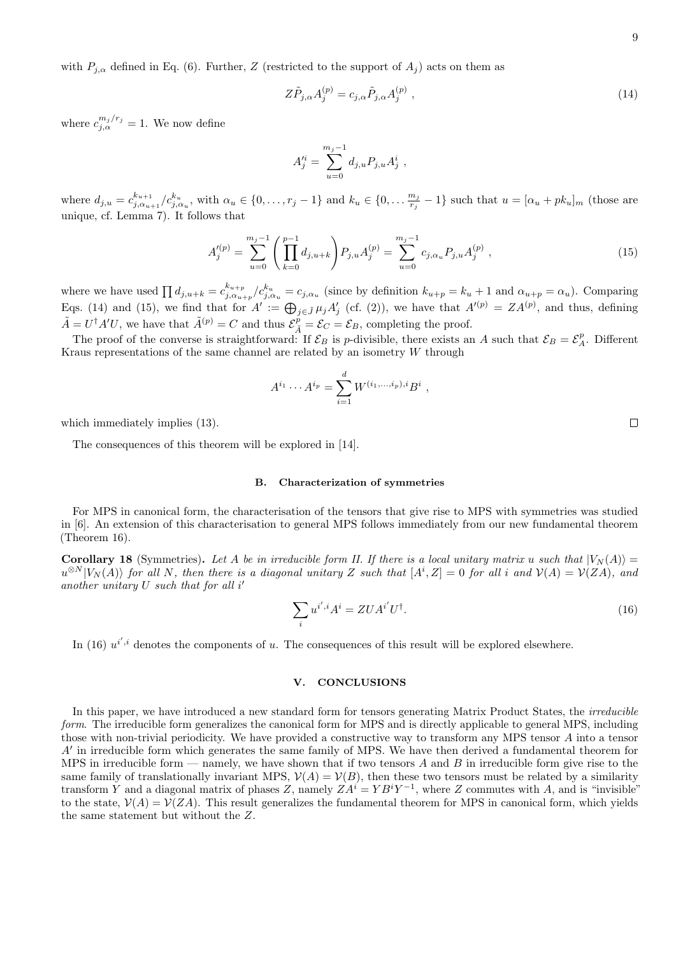with  $P_{j,\alpha}$  defined in Eq. [\(6\)](#page-3-1). Further, Z (restricted to the support of  $A_j$ ) acts on them as

<span id="page-8-2"></span>
$$
Z\tilde{P}_{j,\alpha}A_j^{(p)} = c_{j,\alpha}\tilde{P}_{j,\alpha}A_j^{(p)}\,,\tag{14}
$$

where  $c_{j,\alpha}^{m_j/r_j} = 1$ . We now define

$$
A_j^{\prime i} = \sum_{u=0}^{m_j-1} d_{j,u} P_{j,u} A_j^i ,
$$

where  $d_{j,u} = c_{i,\alpha_u}^{k_{u+1}}$  $\sum_{j,\alpha_{u+1}}^{k_{u+1}}/c_{j,\alpha_u}^{k_u}$ , with  $\alpha_u \in \{0, ..., r_j - 1\}$  and  $k_u \in \{0, ..., \frac{m_j}{r_j}\}$  $\frac{m_j}{r_j} - 1$ } such that  $u = [\alpha_u + pk_u]_m$  (those are unique, cf. Lemma [7\)](#page-4-5). It follows that

<span id="page-8-3"></span>
$$
A_j^{\prime(p)} = \sum_{u=0}^{m_j - 1} \left( \prod_{k=0}^{p-1} d_{j,u+k} \right) P_{j,u} A_j^{(p)} = \sum_{u=0}^{m_j - 1} c_{j,\alpha_u} P_{j,u} A_j^{(p)} , \qquad (15)
$$

where we have used  $\prod d_{j,u+k} = c_{j,\alpha_u}^{k_{u+p}}$  $\frac{k_{u+p}}{j,\alpha_{u+p}}/c_{j,\alpha_u}^{k_u} = c_{j,\alpha_u}$  (since by definition  $k_{u+p} = k_u + 1$  and  $\alpha_{u+p} = \alpha_u$ ). Comparing Eqs. [\(14\)](#page-8-2) and [\(15\)](#page-8-3), we find that for  $A' := \bigoplus_{j \in \tilde{J}} \mu_j A'_j$  (cf. [\(2\)](#page-1-2)), we have that  $A'(p) = Z A^{(p)}$ , and thus, defining  $\tilde{A} = U^{\dagger} A' U$ , we have that  $\tilde{A}^{(p)} = C$  and thus  $\mathcal{E}_{\tilde{A}}^{\tilde{p}} = \mathcal{E}_C = \mathcal{E}_B$ , completing the proof.

The proof of the converse is straightforward: If  $\mathcal{E}_B$  is p-divisible, there exists an A such that  $\mathcal{E}_B = \mathcal{E}_A^p$ . Different Kraus representations of the same channel are related by an isometry  $W$  through

$$
A^{i_1} \cdots A^{i_p} = \sum_{i=1}^d W^{(i_1, \ldots, i_p), i} B^i ,
$$

which immediately implies  $(13)$ .

The consequences of this theorem will be explored in [\[14\]](#page-11-11).

## <span id="page-8-1"></span>B. Characterization of symmetries

For MPS in canonical form, the characterisation of the tensors that give rise to MPS with symmetries was studied in [\[6\]](#page-11-4). An extension of this characterisation to general MPS follows immediately from our new fundamental theorem (Theorem [16\)](#page-6-2).

**Corollary 18** (Symmetries). Let A be in irreducible form II. If there is a local unitary matrix u such that  $|V_N(A)\rangle =$  $u^{\otimes N}|V_N(A)\rangle$  for all N, then there is a diagonal unitary Z such that  $[A^i, Z] = 0$  for all i and  $\mathcal{V}(A) = \mathcal{V}(ZA)$ , and another unitary  $U$  such that for all  $i'$ 

<span id="page-8-4"></span>
$$
\sum_{i} u^{i',i} A^i = ZUA^{i'}U^{\dagger}.
$$
\n(16)

In [\(16\)](#page-8-4)  $u^{i',i}$  denotes the components of u. The consequences of this result will be explored elsewhere.

# <span id="page-8-0"></span>V. CONCLUSIONS

In this paper, we have introduced a new standard form for tensors generating Matrix Product States, the *irreducible* form. The irreducible form generalizes the canonical form for MPS and is directly applicable to general MPS, including those with non-trivial periodicity. We have provided a constructive way to transform any MPS tensor A into a tensor  $A'$  in irreducible form which generates the same family of MPS. We have then derived a fundamental theorem for MPS in irreducible form — namely, we have shown that if two tensors A and B in irreducible form give rise to the same family of translationally invariant MPS,  $\mathcal{V}(A) = \mathcal{V}(B)$ , then these two tensors must be related by a similarity transform Y and a diagonal matrix of phases Z, namely  $ZA^i=YB^iY^{-1}$ , where Z commutes with A, and is "invisible" to the state,  $V(A) = V(ZA)$ . This result generalizes the fundamental theorem for MPS in canonical form, which yields the same statement but without the Z.

 $\Box$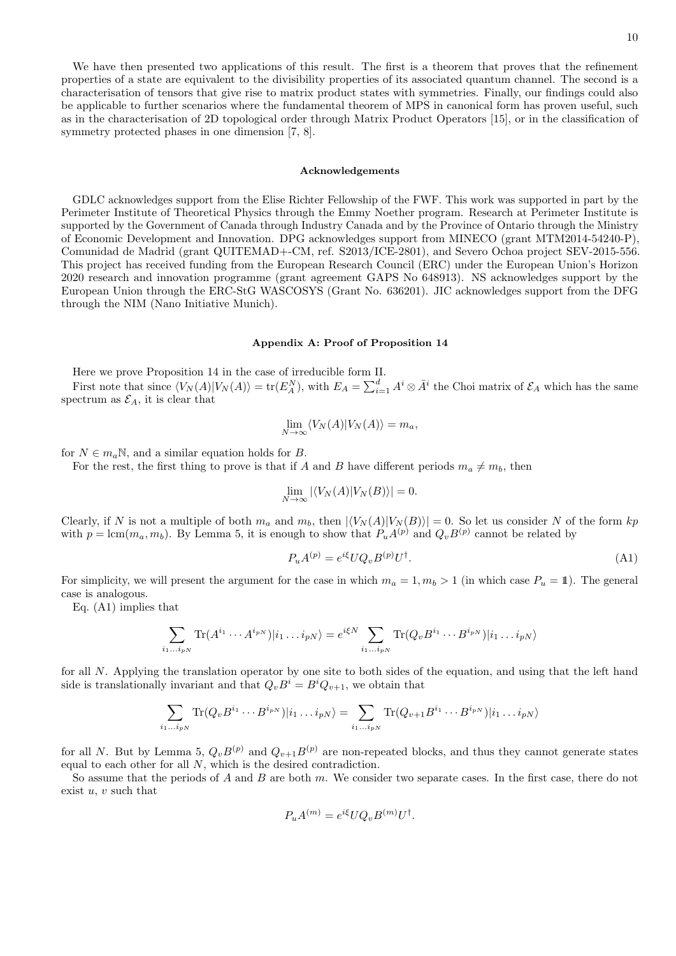We have then presented two applications of this result. The first is a theorem that proves that the refinement properties of a state are equivalent to the divisibility properties of its associated quantum channel. The second is a characterisation of tensors that give rise to matrix product states with symmetries. Finally, our findings could also be applicable to further scenarios where the fundamental theorem of MPS in canonical form has proven useful, such as in the characterisation of 2D topological order through Matrix Product Operators [\[15\]](#page-11-12), or in the classification of symmetry protected phases in one dimension [\[7,](#page-11-5) [8\]](#page-11-13).

#### Acknowledgements

GDLC acknowledges support from the Elise Richter Fellowship of the FWF. This work was supported in part by the Perimeter Institute of Theoretical Physics through the Emmy Noether program. Research at Perimeter Institute is supported by the Government of Canada through Industry Canada and by the Province of Ontario through the Ministry of Economic Development and Innovation. DPG acknowledges support from MINECO (grant MTM2014-54240-P), Comunidad de Madrid (grant QUITEMAD+-CM, ref. S2013/ICE-2801), and Severo Ochoa project SEV-2015-556. This project has received funding from the European Research Council (ERC) under the European Union's Horizon 2020 research and innovation programme (grant agreement GAPS No 648913). NS acknowledges support by the European Union through the ERC-StG WASCOSYS (Grant No. 636201). JIC acknowledges support from the DFG through the NIM (Nano Initiative Munich).

### <span id="page-9-0"></span>Appendix A: Proof of Proposition [14](#page-5-5)

Here we prove Proposition [14](#page-5-5) in the case of irreducible form II.

First note that since  $\langle V_N(A)|V_N(A)\rangle = \text{tr}(E_A^N)$ , with  $E_A = \sum_{i=1}^d A^i \otimes \bar{A}^i$  the Choi matrix of  $\mathcal{E}_A$  which has the same spectrum as  $\mathcal{E}_A$ , it is clear that

$$
\lim_{N \to \infty} \langle V_N(A) | V_N(A) \rangle = m_a,
$$

for  $N \in m_a \mathbb{N}$ , and a similar equation holds for B.

For the rest, the first thing to prove is that if A and B have different periods  $m_a \neq m_b$ , then

$$
\lim_{N \to \infty} |\langle V_N(A)|V_N(B)\rangle| = 0.
$$

Clearly, if N is not a multiple of both  $m_a$  and  $m_b$ , then  $|\langle V_N(A)|V_N(B)\rangle| = 0$ . So let us consider N of the form kp with  $p = \text{lcm}(m_a, m_b)$ . By Lemma [5,](#page-3-3) it is enough to show that  $P_u A^{(p)}$  and  $Q_v B^{(p)}$  cannot be related by

<span id="page-9-1"></span>
$$
P_u A^{(p)} = e^{i\xi} U Q_v B^{(p)} U^{\dagger}.
$$
\n(A1)

For simplicity, we will present the argument for the case in which  $m_a = 1, m_b > 1$  (in which case  $P_u = 1$ ). The general case is analogous.

Eq. [\(A1\)](#page-9-1) implies that

$$
\sum_{i_1...i_{pN}} \text{Tr}(A^{i_1} \cdots A^{i_{pN}}) |i_1...i_{pN}\rangle = e^{i\xi N} \sum_{i_1...i_{pN}} \text{Tr}(Q_v B^{i_1} \cdots B^{i_{pN}}) |i_1...i_{pN}\rangle
$$

for all N. Applying the translation operator by one site to both sides of the equation, and using that the left hand side is translationally invariant and that  $Q_vB^i = B^iQ_{v+1}$ , we obtain that

$$
\sum_{i_1...i_{pN}} \text{Tr}(Q_v B^{i_1} \cdots B^{i_{pN}}) | i_1...i_{pN} \rangle = \sum_{i_1...i_{pN}} \text{Tr}(Q_{v+1} B^{i_1} \cdots B^{i_{pN}}) | i_1...i_{pN} \rangle
$$

for all N. But by Lemma [5,](#page-3-3)  $Q_vB^{(p)}$  and  $Q_{v+1}B^{(p)}$  are non-repeated blocks, and thus they cannot generate states equal to each other for all N, which is the desired contradiction.

So assume that the periods of A and B are both m. We consider two separate cases. In the first case, there do not exist  $u, v$  such that

$$
P_u A^{(m)} = e^{i\xi} U Q_v B^{(m)} U^{\dagger}.
$$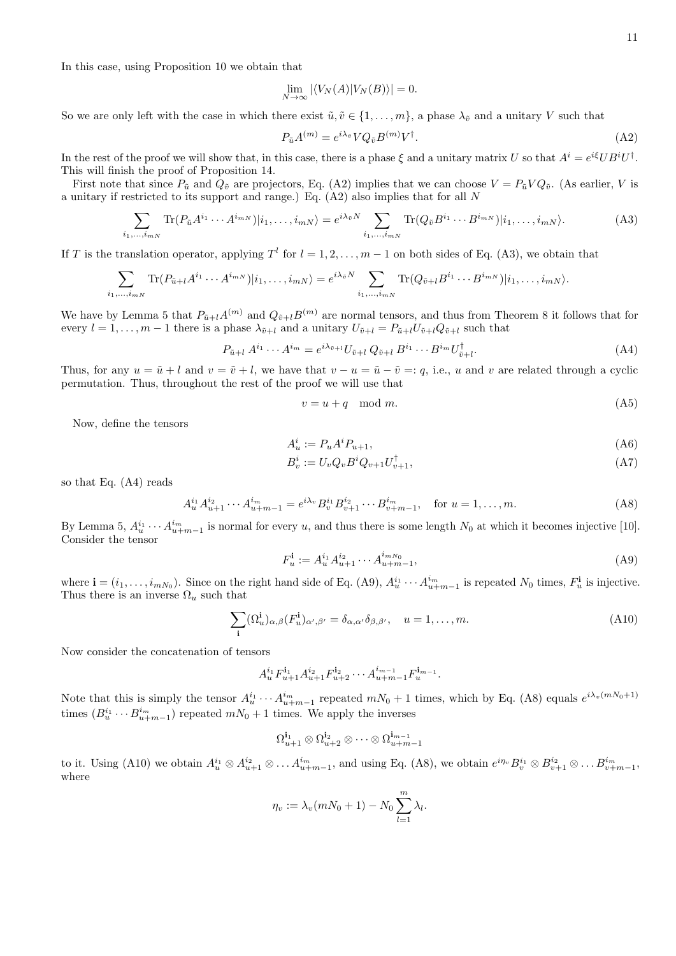In this case, using Proposition [10](#page-4-4) we obtain that

$$
\lim_{N \to \infty} |\langle V_N(A)|V_N(B)\rangle| = 0.
$$

So we are only left with the case in which there exist  $\tilde{u}, \tilde{v} \in \{1, \ldots, m\}$ , a phase  $\lambda_{\tilde{v}}$  and a unitary V such that

<span id="page-10-0"></span>
$$
P_{\tilde{u}}A^{(m)} = e^{i\lambda_{\tilde{v}}} V Q_{\tilde{v}} B^{(m)} V^{\dagger}.
$$
\n(A2)

In the rest of the proof we will show that, in this case, there is a phase  $\xi$  and a unitary matrix U so that  $A^i = e^{i\xi} U B^i U^{\dagger}$ . This will finish the proof of Proposition [14.](#page-5-5)

First note that since  $P_{\tilde{u}}$  and  $Q_{\tilde{v}}$  are projectors, Eq. [\(A2\)](#page-10-0) implies that we can choose  $V = P_{\tilde{u}} V Q_{\tilde{v}}$ . (As earlier, V is a unitary if restricted to its support and range.) Eq. [\(A2\)](#page-10-0) also implies that for all N

<span id="page-10-1"></span>
$$
\sum_{i_1,\dots,i_{mN}} \text{Tr}(P_{\tilde{u}}A^{i_1}\cdots A^{i_{mN}})|i_1,\dots,i_{mN}\rangle = e^{i\lambda_{\tilde{v}}N} \sum_{i_1,\dots,i_{mN}} \text{Tr}(Q_{\tilde{v}}B^{i_1}\cdots B^{i_{mN}})|i_1,\dots,i_{mN}\rangle.
$$
 (A3)

If T is the translation operator, applying  $T^l$  for  $l = 1, 2, ..., m-1$  on both sides of Eq. [\(A3\)](#page-10-1), we obtain that

$$
\sum_{i_1,\dots,i_{mN}} \text{Tr}(P_{\tilde{u}+l}A^{i_1}\cdots A^{i_{mN}})|i_1,\dots,i_{mN}\rangle = e^{i\lambda_{\tilde{v}}N} \sum_{i_1,\dots,i_{mN}} \text{Tr}(Q_{\tilde{v}+l}B^{i_1}\cdots B^{i_{mN}})|i_1,\dots,i_{mN}\rangle.
$$

We have by Lemma [5](#page-3-3) that  $P_{\tilde{u}+l}A^{(m)}$  and  $Q_{\tilde{v}+l}B^{(m)}$  are normal tensors, and thus from Theorem [8](#page-4-3) it follows that for every  $l = 1, \ldots, m - 1$  there is a phase  $\lambda_{\tilde{v}+l}$  and a unitary  $U_{\tilde{v}+l} = P_{\tilde{u}+l} U_{\tilde{v}+l} Q_{\tilde{v}+l}$  such that

<span id="page-10-2"></span>
$$
P_{\tilde{u}+l} A^{i_1} \cdots A^{i_m} = e^{i\lambda_{\tilde{v}+l}} U_{\tilde{v}+l} Q_{\tilde{v}+l} B^{i_1} \cdots B^{i_m} U_{\tilde{v}+l}^{\dagger}.
$$
\n(A4)

Thus, for any  $u = \tilde{u} + l$  and  $v = \tilde{v} + l$ , we have that  $v - u = \tilde{u} - \tilde{v} = i$ ; i.e., u and v are related through a cyclic permutation. Thus, throughout the rest of the proof we will use that

<span id="page-10-7"></span>
$$
v = u + q \mod m. \tag{A5}
$$

Now, define the tensors

<span id="page-10-6"></span>
$$
A_u^i := P_u A^i P_{u+1},\tag{A6}
$$

$$
B_v^i := U_v Q_v B^i Q_{v+1} U_{v+1}^\dagger,\tag{A7}
$$

so that Eq. [\(A4\)](#page-10-2) reads

<span id="page-10-4"></span>
$$
A_{u}^{i_1} A_{u+1}^{i_2} \cdots A_{u+m-1}^{i_m} = e^{i\lambda_v} B_{v}^{i_1} B_{v+1}^{i_2} \cdots B_{v+m-1}^{i_m}, \quad \text{for } u = 1, \dots, m.
$$
 (A8)

By Lemma [5,](#page-3-3)  $A_u^{i_1} \cdots A_{u+m-1}^{i_m}$  is normal for every u, and thus there is some length  $N_0$  at which it becomes injective [\[10\]](#page-11-7). Consider the tensor

<span id="page-10-3"></span>
$$
F_u^{\mathbf{i}} := A_u^{i_1} A_{u+1}^{i_2} \cdots A_{u+m-1}^{i_{mN_0}},\tag{A9}
$$

where  $\mathbf{i} = (i_1, \ldots, i_{mN_0})$ . Since on the right hand side of Eq. [\(A9\)](#page-10-3),  $A_u^{i_1} \cdots A_{u+m-1}^{i_m}$  is repeated  $N_0$  times,  $F_u^{\mathbf{i}}$  is injective. Thus there is an inverse  $\Omega_u$  such that

<span id="page-10-5"></span>
$$
\sum_{\mathbf{i}} (\Omega_{u}^{\mathbf{i}})_{\alpha,\beta} (F_{u}^{\mathbf{i}})_{\alpha',\beta'} = \delta_{\alpha,\alpha'} \delta_{\beta,\beta'}, \quad u = 1, \dots, m.
$$
 (A10)

Now consider the concatenation of tensors

$$
A_u^{i_1} F_{u+1}^{i_1} A_{u+1}^{i_2} F_{u+2}^{i_2} \cdots A_{u+m-1}^{i_{m-1}} F_u^{i_{m-1}}.
$$

Note that this is simply the tensor  $A_u^{i_1} \cdots A_{u+m-1}^{i_m}$  repeated  $mN_0 + 1$  times, which by Eq. [\(A8\)](#page-10-4) equals  $e^{i\lambda_v(mN_0+1)}$ times  $(B_u^{i_1} \cdots B_{u+m-1}^{i_m})$  repeated  $mN_0 + 1$  times. We apply the inverses

$$
\Omega^{\mathbf{i}_1}_{u+1}\otimes\Omega^{\mathbf{i}_2}_{u+2}\otimes\cdots\otimes\Omega^{\mathbf{i}_{m-1}}_{u+m-1}
$$

to it. Using [\(A10\)](#page-10-5) we obtain  $A_u^{i_1} \otimes A_{u+1}^{i_2} \otimes \ldots A_{u+m-1}^{i_m}$ , and using Eq. [\(A8\)](#page-10-4), we obtain  $e^{i\eta_v} B_v^{i_1} \otimes B_{v+1}^{i_2} \otimes \ldots B_{v+m-1}^{i_m}$ , where

$$
\eta_v := \lambda_v(mN_0 + 1) - N_0 \sum_{l=1}^m \lambda_l.
$$